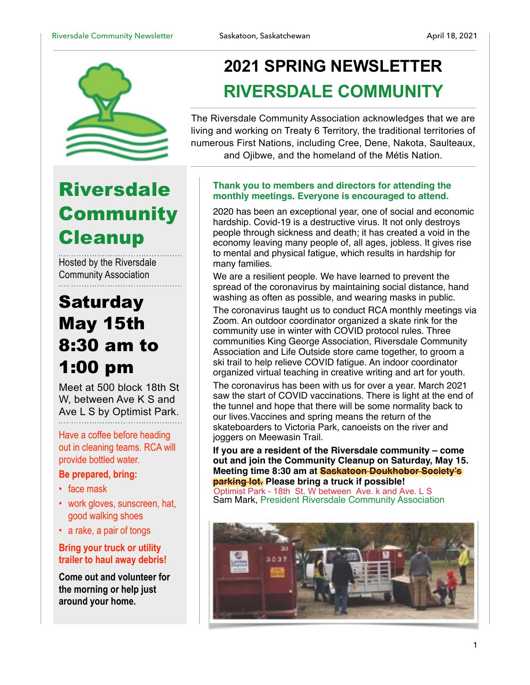

## **Riversdale Community Cleanup**

Hosted by the Riversdale Community Association

### **Saturday** May 15th 8:30 am to 1:00 pm

Meet at 500 block 18th St W, between Ave K S and Ave L S by Optimist Park.

Have a coffee before heading out in cleaning teams. RCA will provide bottled water.

#### **Be prepared, bring:**

- face mask
- work gloves, sunscreen, hat, good walking shoes
- a rake, a pair of tongs

#### **Bring your truck or utility trailer to haul away debris!**

**Come out and volunteer for the morning or help just around your home.** 

### **2021 SPRING NEWSLETTER RIVERSDALE COMMUNITY**

The Riversdale Community Association acknowledges that we are living and working on Treaty 6 Territory, the traditional territories of numerous First Nations, including Cree, Dene, Nakota, Saulteaux, and Ojibwe, and the homeland of the Métis Nation.

#### **Thank you to members and directors for attending the monthly meetings. Everyone is encouraged to attend.**

2020 has been an exceptional year, one of social and economic hardship. Covid-19 is a destructive virus. It not only destroys people through sickness and death; it has created a void in the economy leaving many people of, all ages, jobless. It gives rise to mental and physical fatigue, which results in hardship for many families.

We are a resilient people. We have learned to prevent the spread of the coronavirus by maintaining social distance, hand washing as often as possible, and wearing masks in public.

The coronavirus taught us to conduct RCA monthly meetings via Zoom. An outdoor coordinator organized a skate rink for the community use in winter with COVID protocol rules. Three communities King George Association, Riversdale Community Association and Life Outside store came together, to groom a ski trail to help relieve COVID fatigue. An indoor coordinator organized virtual teaching in creative writing and art for youth.

The coronavirus has been with us for over a year. March 2021 saw the start of COVID vaccinations. There is light at the end of the tunnel and hope that there will be some normality back to our lives.Vaccines and spring means the return of the skateboarders to Victoria Park, canoeists on the river and joggers on Meewasin Trail.

**If you are a resident of the Riversdale community – come out and join the Community Cleanup on Saturday, May 15. Meeting time 8:30 am at Saskatoon Doukhobor Society's parking lot. Please bring a truck if possible!**

Sam Mark, President Riversdale Community Association Optimist Park - 18th St. W between Ave. k and Ave. L S

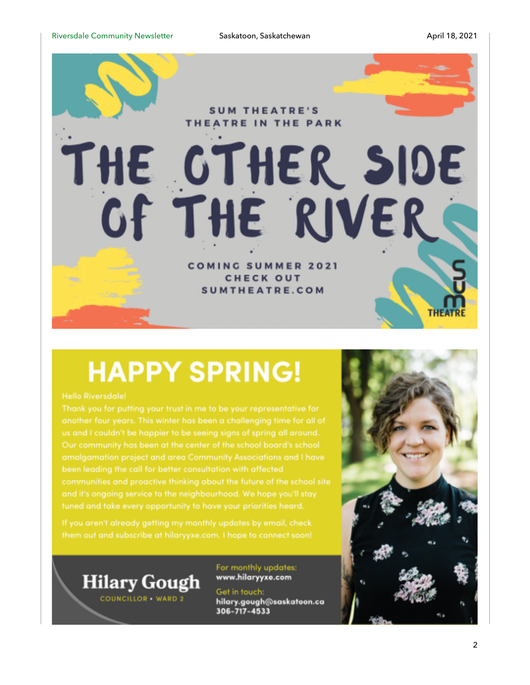

## **HAPPY SPRING!**

tuned and take every opportunity to have your priorities heard.



COUNCILLOR WARD 2

For monthly updates: www.hilaryyxe.com

Get in touch: hilary.gough@saskatoon.ca 306-717-4533

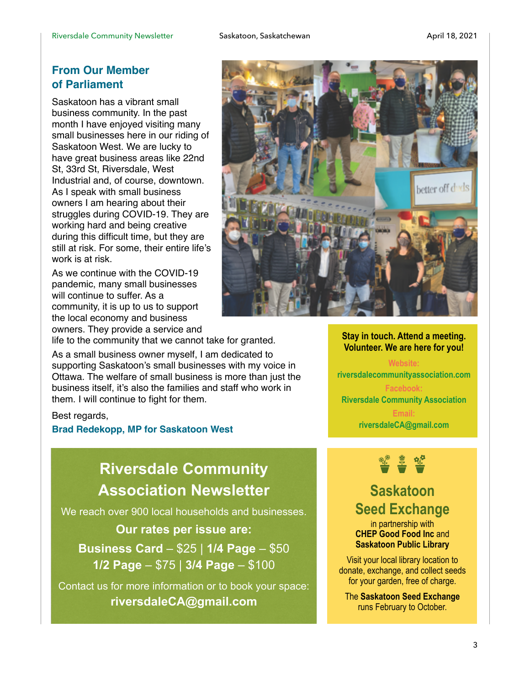#### **From Our Member of Parliament**

Saskatoon has a vibrant small business community. In the past month I have enjoyed visiting many small businesses here in our riding of Saskatoon West. We are lucky to have great business areas like 22nd St, 33rd St, Riversdale, West Industrial and, of course, downtown. As I speak with small business owners I am hearing about their struggles during COVID-19. They are working hard and being creative during this difficult time, but they are still at risk. For some, their entire life's work is at risk.

As we continue with the COVID-19 pandemic, many small businesses will continue to suffer. As a community, it is up to us to support the local economy and business owners. They provide a service and

life to the community that we cannot take for granted.

As a small business owner myself, I am dedicated to supporting Saskatoon's small businesses with my voice in Ottawa. The welfare of small business is more than just the business itself, it's also the families and staff who work in them. I will continue to fight for them.

#### Best regards,

#### **Brad Redekopp, MP for Saskatoon West**

### **Riversdale Community Association Newsletter**

We reach over 900 local households and businesses.

#### **Our rates per issue are:**

**Business Card** – \$25 | **1/4 Page** – \$50 **1/2 Page** – \$75 | **3/4 Page** – \$100

Contact us for more information or to book your space: **riversdaleCA@gmail.com** 



#### **Stay in touch. Attend a meeting. Volunteer. We are here for you!**

**Website: riversdalecommunityassociation.com Facebook: Riversdale Community Association Email: riversdaleCA@gmail.com**



### **Saskatoon Seed Exchange**

in partnership with **CHEP Good Food Inc** and **Saskatoon Public Library** 

Visit your local library location to donate, exchange, and collect seeds for your garden, free of charge.

The **Saskatoon Seed Exchange** runs February to October.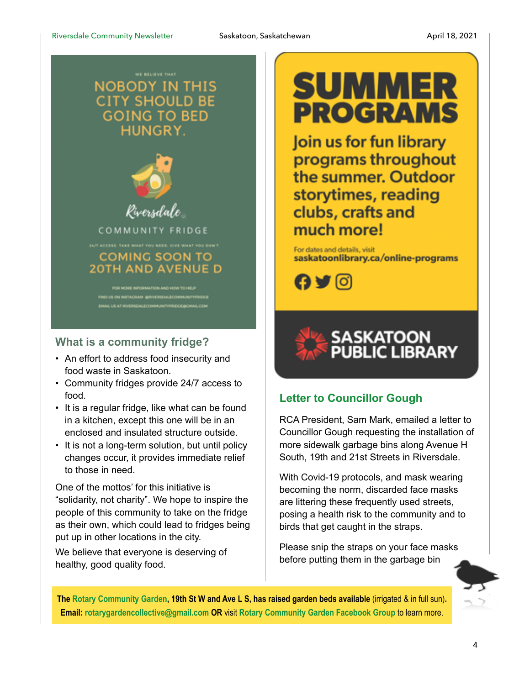### **NOBODY IN THIS CITY SHOULD BE** GOING TO BED HUNGRY.



#### **What is a community fridge?**

- An effort to address food insecurity and food waste in Saskatoon.
- Community fridges provide 24/7 access to food.
- It is a regular fridge, like what can be found in a kitchen, except this one will be in an enclosed and insulated structure outside.
- It is not a long-term solution, but until policy changes occur, it provides immediate relief to those in need.

One of the mottos' for this initiative is "solidarity, not charity". We hope to inspire the people of this community to take on the fridge as their own, which could lead to fridges being put up in other locations in the city.

We believe that everyone is deserving of healthy, good quality food.

# **SUMMER PROGRAMS**

Join us for fun library programs throughout the summer. Outdoor storytimes, reading clubs, crafts and much more!

For dates and details, visit saskatoonlibrary.ca/online-programs





### **Letter to Councillor Gough**

RCA President, Sam Mark, emailed a letter to Councillor Gough requesting the installation of more sidewalk garbage bins along Avenue H South, 19th and 21st Streets in Riversdale.

With Covid-19 protocols, and mask wearing becoming the norm, discarded face masks are littering these frequently used streets, posing a health risk to the community and to birds that get caught in the straps.

Please snip the straps on your face masks before putting them in the garbage bin

**The Rotary Community Garden, 19th St W and Ave L S, has raised garden beds available** (irrigated & in full sun)**. Email: rotarygardencollective@gmail.com OR** visit **Rotary Community Garden Facebook Group** to learn more.